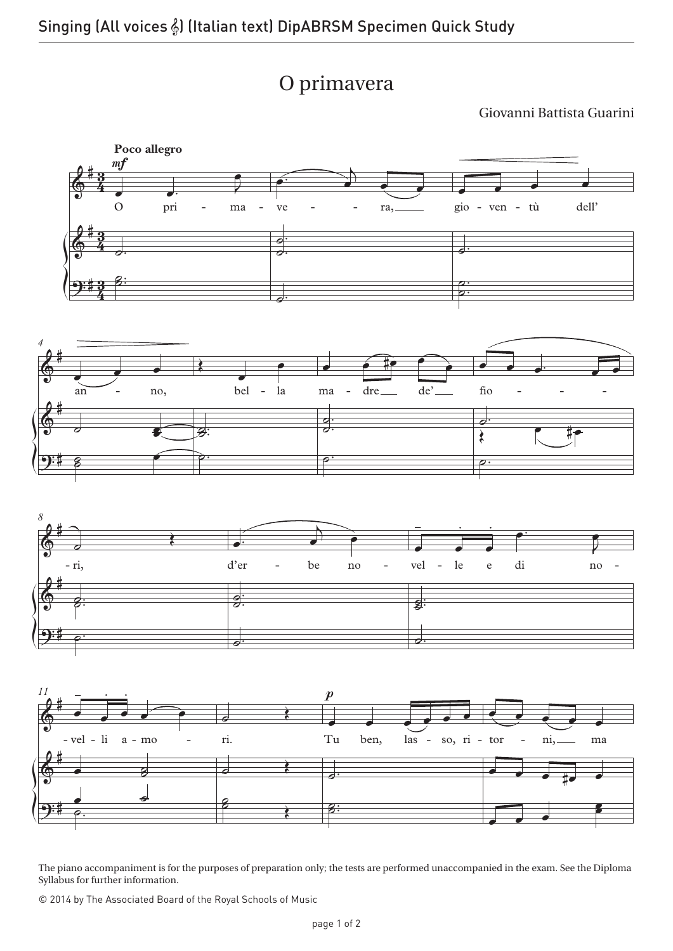

Giovanni Battista Guarini



The piano accompaniment is for the purposes of preparation only; the tests are performed unaccompanied in the exam. See the Diploma Syllabus for further information.

© 2014 by The Associated Board of the Royal Schools of Music